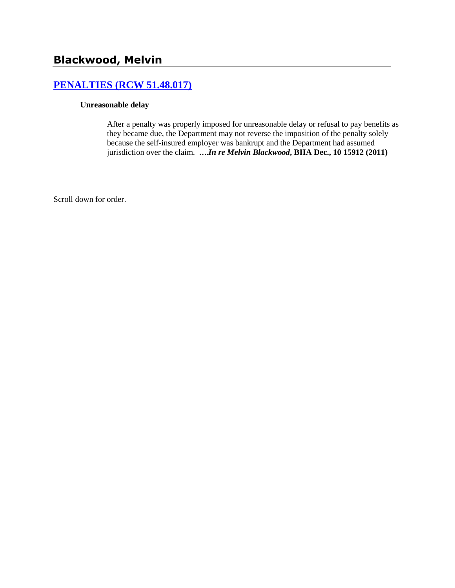# **[PENALTIES \(RCW 51.48.017\)](http://www.biia.wa.gov/SDSubjectIndex.html#PENALTIES)**

### **Unreasonable delay**

After a penalty was properly imposed for unreasonable delay or refusal to pay benefits as they became due, the Department may not reverse the imposition of the penalty solely because the self-insured employer was bankrupt and the Department had assumed jurisdiction over the claim. **….***In re Melvin Blackwood***, BIIA Dec., 10 15912 (2011)**

Scroll down for order.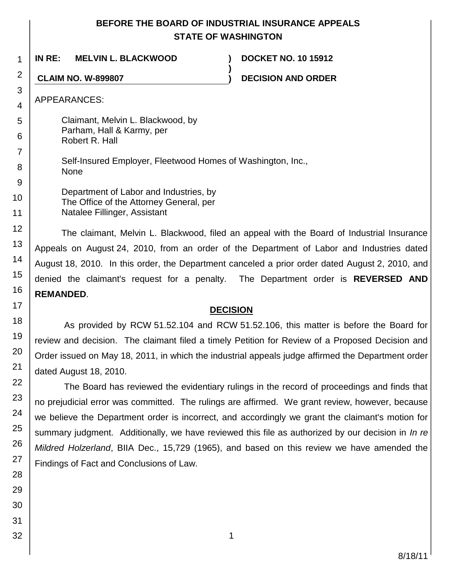## **BEFORE THE BOARD OF INDUSTRIAL INSURANCE APPEALS STATE OF WASHINGTON**

**)**

**IN RE: MELVIN L. BLACKWOOD ) DOCKET NO. 10 15912**

**CLAIM NO. W-899807 ) DECISION AND ORDER**

APPEARANCES:

Claimant, Melvin L. Blackwood, by Parham, Hall & Karmy, per Robert R. Hall

Self-Insured Employer, Fleetwood Homes of Washington, Inc., None

Department of Labor and Industries, by The Office of the Attorney General, per Natalee Fillinger, Assistant

The claimant, Melvin L. Blackwood, filed an appeal with the Board of Industrial Insurance Appeals on August 24, 2010, from an order of the Department of Labor and Industries dated August 18, 2010. In this order, the Department canceled a prior order dated August 2, 2010, and denied the claimant's request for a penalty. The Department order is **REVERSED AND REMANDED**.

## **DECISION**

As provided by RCW 51.52.104 and RCW 51.52.106, this matter is before the Board for review and decision. The claimant filed a timely Petition for Review of a Proposed Decision and Order issued on May 18, 2011, in which the industrial appeals judge affirmed the Department order dated August 18, 2010.

The Board has reviewed the evidentiary rulings in the record of proceedings and finds that no prejudicial error was committed. The rulings are affirmed. We grant review, however, because we believe the Department order is incorrect, and accordingly we grant the claimant's motion for summary judgment. Additionally, we have reviewed this file as authorized by our decision in *In re Mildred Holzerland*, BIIA Dec., 15,729 (1965), and based on this review we have amended the Findings of Fact and Conclusions of Law.

1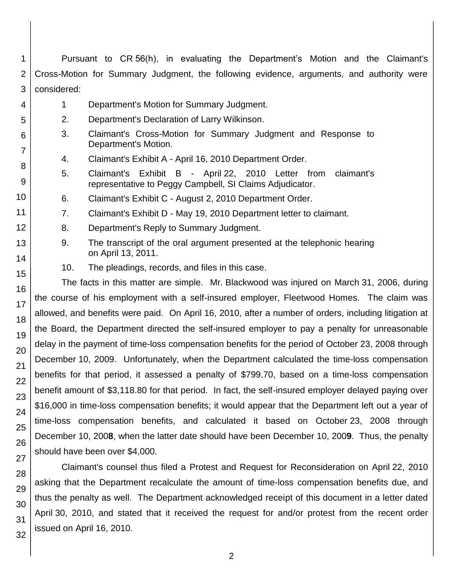| 5                                                                                                        | 2.                                                                                                    | Department's Declaration of Larry Wilkinson.                                                                                |  |  |  |  |
|----------------------------------------------------------------------------------------------------------|-------------------------------------------------------------------------------------------------------|-----------------------------------------------------------------------------------------------------------------------------|--|--|--|--|
| 6                                                                                                        | 3.                                                                                                    | Claimant's Cross-Motion for Summary Judgment and Response to<br>Department's Motion.                                        |  |  |  |  |
| 7                                                                                                        | 4.                                                                                                    | Claimant's Exhibit A - April 16, 2010 Department Order.                                                                     |  |  |  |  |
| 8<br>9                                                                                                   | 5.                                                                                                    | Claimant's Exhibit B - April 22, 2010 Letter from<br>claimant's<br>representative to Peggy Campbell, SI Claims Adjudicator. |  |  |  |  |
| 10                                                                                                       | 6.                                                                                                    | Claimant's Exhibit C - August 2, 2010 Department Order.                                                                     |  |  |  |  |
| 11                                                                                                       | 7.                                                                                                    | Claimant's Exhibit D - May 19, 2010 Department letter to claimant.                                                          |  |  |  |  |
| 12                                                                                                       | 8.                                                                                                    | Department's Reply to Summary Judgment.                                                                                     |  |  |  |  |
| 13<br>14                                                                                                 | 9.                                                                                                    | The transcript of the oral argument presented at the telephonic hearing<br>on April 13, 2011.                               |  |  |  |  |
|                                                                                                          | 10.                                                                                                   | The pleadings, records, and files in this case.                                                                             |  |  |  |  |
| 15                                                                                                       |                                                                                                       | The facts in this matter are simple. Mr. Blackwood was injured on March 31, 2006, during                                    |  |  |  |  |
| 16                                                                                                       | the course of his employment with a self-insured employer, Fleetwood Homes. The claim was             |                                                                                                                             |  |  |  |  |
| 17                                                                                                       | allowed, and benefits were paid. On April 16, 2010, after a number of orders, including litigation at |                                                                                                                             |  |  |  |  |
| 18                                                                                                       | the Board, the Department directed the self-insured employer to pay a penalty for unreasonable        |                                                                                                                             |  |  |  |  |
| 19<br>delay in the payment of time-loss compensation benefits for the period of October 23, 2008 through |                                                                                                       |                                                                                                                             |  |  |  |  |
| 20                                                                                                       | December 10, 2009. Unfortunately, when the Department calculated the time-loss compensation           |                                                                                                                             |  |  |  |  |
| 21                                                                                                       | benefits for that period, it assessed a penalty of \$799.70, based on a time-loss compensation        |                                                                                                                             |  |  |  |  |
| 22                                                                                                       |                                                                                                       | benefit amount of \$3,118.80 for that period. In fact, the self-insured employer delayed paying over                        |  |  |  |  |
| 23                                                                                                       | \$16,000 in time-loss compensation benefits; it would appear that the Department left out a year of   |                                                                                                                             |  |  |  |  |
| 24                                                                                                       |                                                                                                       | time-loss compensation benefits, and calculated it based on October 23, 2008 through                                        |  |  |  |  |
| 25                                                                                                       | December 10, 2008, when the latter date should have been December 10, 2009. Thus, the penalty         |                                                                                                                             |  |  |  |  |
| 26                                                                                                       | should have been over \$4,000.                                                                        |                                                                                                                             |  |  |  |  |
| 27                                                                                                       | Claimant's counsel thus filed a Protest and Request for Reconsideration on April 22, 2010             |                                                                                                                             |  |  |  |  |
| 28<br>asking that the Department recalculate the amount of time-loss compensation benefits due, and      |                                                                                                       |                                                                                                                             |  |  |  |  |
| 29                                                                                                       | thus the penalty as well. The Department acknowledged receipt of this document in a letter dated      |                                                                                                                             |  |  |  |  |
| 30                                                                                                       | April 30, 2010, and stated that it received the request for and/or protest from the recent order      |                                                                                                                             |  |  |  |  |
| 31                                                                                                       | issued on April 16, 2010.                                                                             |                                                                                                                             |  |  |  |  |
| 32                                                                                                       |                                                                                                       |                                                                                                                             |  |  |  |  |
|                                                                                                          |                                                                                                       | $\overline{2}$                                                                                                              |  |  |  |  |
|                                                                                                          |                                                                                                       |                                                                                                                             |  |  |  |  |
|                                                                                                          |                                                                                                       |                                                                                                                             |  |  |  |  |

1 2 3 Pursuant to CR 56(h), in evaluating the Department's Motion and the Claimant's Cross-Motion for Summary Judgment, the following evidence, arguments, and authority were considered:

1 Department's Motion for Summary Judgment.

4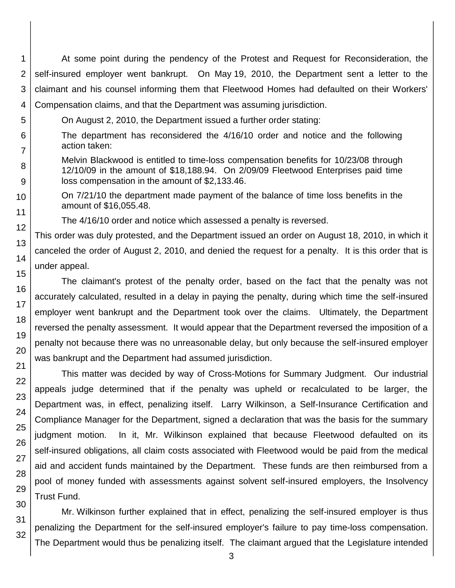1 2 3 At some point during the pendency of the Protest and Request for Reconsideration, the self-insured employer went bankrupt. On May 19, 2010, the Department sent a letter to the claimant and his counsel informing them that Fleetwood Homes had defaulted on their Workers' Compensation claims, and that the Department was assuming jurisdiction.

- On August 2, 2010, the Department issued a further order stating:
	- The department has reconsidered the 4/16/10 order and notice and the following action taken:
	- Melvin Blackwood is entitled to time-loss compensation benefits for 10/23/08 through 12/10/09 in the amount of \$18,188.94. On 2/09/09 Fleetwood Enterprises paid time loss compensation in the amount of \$2,133.46.
- On 7/21/10 the department made payment of the balance of time loss benefits in the amount of \$16,055.48.
	- The 4/16/10 order and notice which assessed a penalty is reversed.

This order was duly protested, and the Department issued an order on August 18, 2010, in which it canceled the order of August 2, 2010, and denied the request for a penalty. It is this order that is under appeal.

The claimant's protest of the penalty order, based on the fact that the penalty was not accurately calculated, resulted in a delay in paying the penalty, during which time the self-insured employer went bankrupt and the Department took over the claims. Ultimately, the Department reversed the penalty assessment. It would appear that the Department reversed the imposition of a penalty not because there was no unreasonable delay, but only because the self-insured employer was bankrupt and the Department had assumed jurisdiction.

This matter was decided by way of Cross-Motions for Summary Judgment. Our industrial appeals judge determined that if the penalty was upheld or recalculated to be larger, the Department was, in effect, penalizing itself. Larry Wilkinson, a Self-Insurance Certification and Compliance Manager for the Department, signed a declaration that was the basis for the summary judgment motion. In it, Mr. Wilkinson explained that because Fleetwood defaulted on its self-insured obligations, all claim costs associated with Fleetwood would be paid from the medical aid and accident funds maintained by the Department. These funds are then reimbursed from a pool of money funded with assessments against solvent self-insured employers, the Insolvency Trust Fund.

Mr. Wilkinson further explained that in effect, penalizing the self-insured employer is thus penalizing the Department for the self-insured employer's failure to pay time-loss compensation. The Department would thus be penalizing itself. The claimant argued that the Legislature intended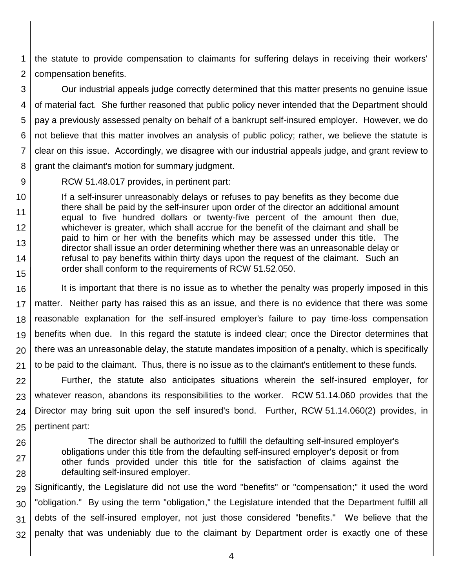1 2 the statute to provide compensation to claimants for suffering delays in receiving their workers' compensation benefits.

3 4 5 6 7 8 Our industrial appeals judge correctly determined that this matter presents no genuine issue of material fact. She further reasoned that public policy never intended that the Department should pay a previously assessed penalty on behalf of a bankrupt self-insured employer. However, we do not believe that this matter involves an analysis of public policy; rather, we believe the statute is clear on this issue. Accordingly, we disagree with our industrial appeals judge, and grant review to grant the claimant's motion for summary judgment.

9

RCW 51.48.017 provides, in pertinent part:

10 11 12 13 14 15 If a self-insurer unreasonably delays or refuses to pay benefits as they become due there shall be paid by the self-insurer upon order of the director an additional amount equal to five hundred dollars or twenty-five percent of the amount then due, whichever is greater, which shall accrue for the benefit of the claimant and shall be paid to him or her with the benefits which may be assessed under this title. The director shall issue an order determining whether there was an unreasonable delay or refusal to pay benefits within thirty days upon the request of the claimant. Such an order shall conform to the requirements of RCW 51.52.050.

16 17 18 19 20 21 It is important that there is no issue as to whether the penalty was properly imposed in this matter. Neither party has raised this as an issue, and there is no evidence that there was some reasonable explanation for the self-insured employer's failure to pay time-loss compensation benefits when due. In this regard the statute is indeed clear; once the Director determines that there was an unreasonable delay, the statute mandates imposition of a penalty, which is specifically to be paid to the claimant. Thus, there is no issue as to the claimant's entitlement to these funds.

22 23 24 25 Further, the statute also anticipates situations wherein the self-insured employer, for whatever reason, abandons its responsibilities to the worker. RCW 51.14.060 provides that the Director may bring suit upon the self insured's bond. Further, RCW 51.14.060(2) provides, in pertinent part:

26 27

28

The director shall be authorized to fulfill the defaulting self-insured employer's obligations under this title from the defaulting self-insured employer's deposit or from other funds provided under this title for the satisfaction of claims against the defaulting self-insured employer.

29 30 31 32 Significantly, the Legislature did not use the word "benefits" or "compensation;" it used the word "obligation." By using the term "obligation," the Legislature intended that the Department fulfill all debts of the self-insured employer, not just those considered "benefits." We believe that the penalty that was undeniably due to the claimant by Department order is exactly one of these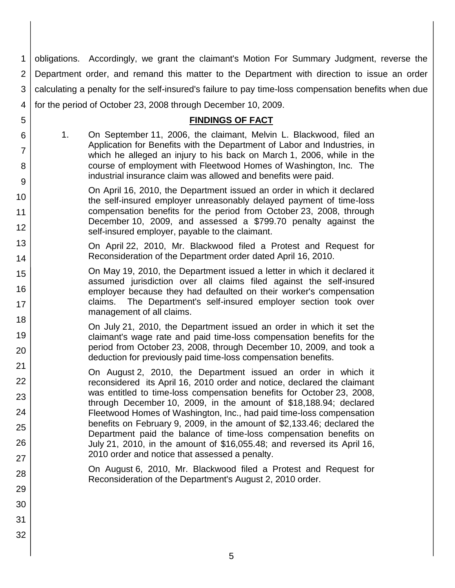1 2 3 4 obligations. Accordingly, we grant the claimant's Motion For Summary Judgment, reverse the Department order, and remand this matter to the Department with direction to issue an order calculating a penalty for the self-insured's failure to pay time-loss compensation benefits when due for the period of October 23, 2008 through December 10, 2009.

### **FINDINGS OF FACT**

1. On September 11, 2006, the claimant, Melvin L. Blackwood, filed an Application for Benefits with the Department of Labor and Industries, in which he alleged an injury to his back on March 1, 2006, while in the course of employment with Fleetwood Homes of Washington, Inc. The industrial insurance claim was allowed and benefits were paid.

5

6

7

8

15

16

17

22

23

24

25

26

27

28

29

30

31

32

- 9 10 11 12 On April 16, 2010, the Department issued an order in which it declared the self-insured employer unreasonably delayed payment of time-loss compensation benefits for the period from October 23, 2008, through December 10, 2009, and assessed a \$799.70 penalty against the self-insured employer, payable to the claimant.
- 13 14 On April 22, 2010, Mr. Blackwood filed a Protest and Request for Reconsideration of the Department order dated April 16, 2010.
	- On May 19, 2010, the Department issued a letter in which it declared it assumed jurisdiction over all claims filed against the self-insured employer because they had defaulted on their worker's compensation claims. The Department's self-insured employer section took over management of all claims.
- 18 19 20 21 On July 21, 2010, the Department issued an order in which it set the claimant's wage rate and paid time-loss compensation benefits for the period from October 23, 2008, through December 10, 2009, and took a deduction for previously paid time-loss compensation benefits.

On August 2, 2010, the Department issued an order in which it reconsidered its April 16, 2010 order and notice, declared the claimant was entitled to time-loss compensation benefits for October 23, 2008, through December 10, 2009, in the amount of \$18,188.94; declared Fleetwood Homes of Washington, Inc., had paid time-loss compensation benefits on February 9, 2009, in the amount of \$2,133.46; declared the Department paid the balance of time-loss compensation benefits on July 21, 2010, in the amount of \$16,055.48; and reversed its April 16, 2010 order and notice that assessed a penalty.

On August 6, 2010, Mr. Blackwood filed a Protest and Request for Reconsideration of the Department's August 2, 2010 order.

5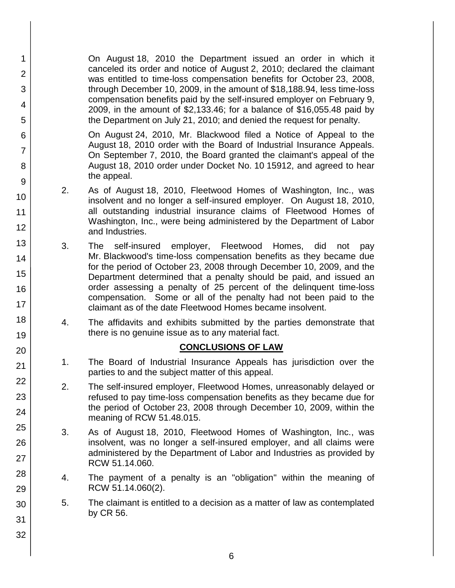On August 18, 2010 the Department issued an order in which it canceled its order and notice of August 2, 2010; declared the claimant was entitled to time-loss compensation benefits for October 23, 2008, through December 10, 2009, in the amount of \$18,188.94, less time-loss compensation benefits paid by the self-insured employer on February 9, 2009, in the amount of \$2,133.46; for a balance of \$16,055.48 paid by the Department on July 21, 2010; and denied the request for penalty.

1

2

3

4

5

6

7

8

9

10

11

12

13

14

15

16

17

18

19

20

21

22

23

24

25

26

27

28

29

30

31

32

On August 24, 2010, Mr. Blackwood filed a Notice of Appeal to the August 18, 2010 order with the Board of Industrial Insurance Appeals. On September 7, 2010, the Board granted the claimant's appeal of the August 18, 2010 order under Docket No. 10 15912, and agreed to hear the appeal.

- 2. As of August 18, 2010, Fleetwood Homes of Washington, Inc., was insolvent and no longer a self-insured employer. On August 18, 2010, all outstanding industrial insurance claims of Fleetwood Homes of Washington, Inc., were being administered by the Department of Labor and Industries.
- 3. The self-insured employer, Fleetwood Homes, did not pay Mr. Blackwood's time-loss compensation benefits as they became due for the period of October 23, 2008 through December 10, 2009, and the Department determined that a penalty should be paid, and issued an order assessing a penalty of 25 percent of the delinquent time-loss compensation. Some or all of the penalty had not been paid to the claimant as of the date Fleetwood Homes became insolvent.
- 4. The affidavits and exhibits submitted by the parties demonstrate that there is no genuine issue as to any material fact.

## **CONCLUSIONS OF LAW**

- 1. The Board of Industrial Insurance Appeals has jurisdiction over the parties to and the subject matter of this appeal.
- 2. The self-insured employer, Fleetwood Homes, unreasonably delayed or refused to pay time-loss compensation benefits as they became due for the period of October 23, 2008 through December 10, 2009, within the meaning of RCW 51.48.015.
- 3. As of August 18, 2010, Fleetwood Homes of Washington, Inc., was insolvent, was no longer a self-insured employer, and all claims were administered by the Department of Labor and Industries as provided by RCW 51.14.060.
- 4. The payment of a penalty is an "obligation" within the meaning of RCW 51.14.060(2).
- 5. The claimant is entitled to a decision as a matter of law as contemplated by CR 56.
	-

6